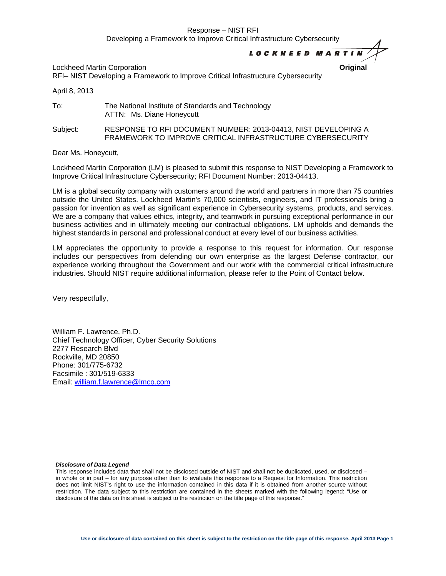#### **LOCKHEED MARTI**

Lockheed Martin Corporation **Original** RFI– NIST Developing a Framework to Improve Critical Infrastructure Cybersecurity

April 8, 2013

To: The National Institute of Standards and Technology ATTN: Ms. Diane Honeycutt

Subject: RESPONSE TO RFI DOCUMENT NUMBER: 2013-04413, NIST DEVELOPING A FRAMEWORK TO IMPROVE CRITICAL INFRASTRUCTURE CYBERSECURITY

Dear Ms. Honeycutt,

Lockheed Martin Corporation (LM) is pleased to submit this response to NIST Developing a Framework to Improve Critical Infrastructure Cybersecurity; RFI Document Number: 2013-04413.

LM is a global security company with customers around the world and partners in more than 75 countries outside the United States. Lockheed Martin's 70,000 scientists, engineers, and IT professionals bring a passion for invention as well as significant experience in Cybersecurity systems, products, and services. We are a company that values ethics, integrity, and teamwork in pursuing exceptional performance in our business activities and in ultimately meeting our contractual obligations. LM upholds and demands the highest standards in personal and professional conduct at every level of our business activities.

LM appreciates the opportunity to provide a response to this request for information. Our response includes our perspectives from defending our own enterprise as the largest Defense contractor, our experience working throughout the Government and our work with the commercial critical infrastructure industries. Should NIST require additional information, please refer to the Point of Contact below.

Very respectfully,

William F. Lawrence, Ph.D. Chief Technology Officer, Cyber Security Solutions 2277 Research Blvd Rockville, MD 20850 Phone: 301/775-6732 Facsimile : 301/519-6333 Email: [william.f.lawrence@lmco.com](mailto:william.f.lawrence@lmco.com)

#### *Disclosure of Data Legend*

This response includes data that shall not be disclosed outside of NIST and shall not be duplicated, used, or disclosed – in whole or in part – for any purpose other than to evaluate this response to a Request for Information. This restriction does not limit NIST's right to use the information contained in this data if it is obtained from another source without restriction. The data subject to this restriction are contained in the sheets marked with the following legend: "Use or disclosure of the data on this sheet is subject to the restriction on the title page of this response."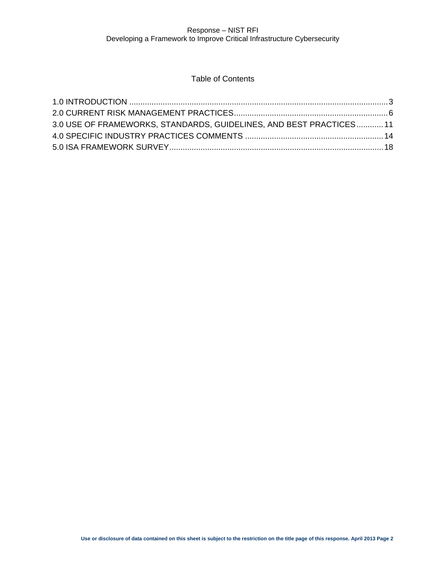# Table of Contents

| 3.0 USE OF FRAMEWORKS, STANDARDS, GUIDELINES, AND BEST PRACTICES 11 |  |
|---------------------------------------------------------------------|--|
|                                                                     |  |
|                                                                     |  |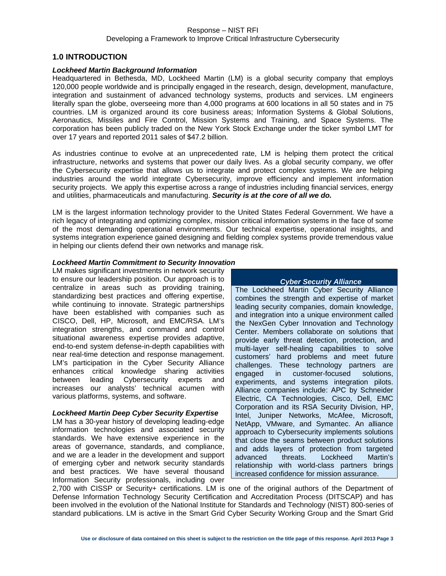#### <span id="page-2-0"></span>**1.0 INTRODUCTION**

#### *Lockheed Martin Background Information*

Headquartered in Bethesda, MD, Lockheed Martin (LM) is a global security company that employs 120,000 people worldwide and is principally engaged in the research, design, development, manufacture, integration and sustainment of advanced technology systems, products and services. LM engineers literally span the globe, overseeing more than 4,000 programs at 600 locations in all 50 states and in 75 countries. LM is organized around its core business areas; Information Systems & Global Solutions, Aeronautics, Missiles and Fire Control, Mission Systems and Training, and Space Systems. The corporation has been publicly traded on the New York Stock Exchange under the ticker symbol LMT for over 17 years and reported 2011 sales of \$47.2 billion.

As industries continue to evolve at an unprecedented rate, LM is helping them protect the critical infrastructure, networks and systems that power our daily lives. As a global security company, we offer the Cybersecurity expertise that allows us to integrate and protect complex systems. We are helping industries around the world integrate Cybersecurity, improve efficiency and implement information security projects. We apply this expertise across a range of industries including financial services, energy and utilities, pharmaceuticals and manufacturing. *Security is at the core of all we do.*

LM is the largest information technology provider to the United States Federal Government. We have a rich legacy of integrating and optimizing complex, mission critical information systems in the face of some of the most demanding operational environments. Our technical expertise, operational insights, and systems integration experience gained designing and fielding complex systems provide tremendous value in helping our clients defend their own networks and manage risk.

#### *Lockheed Martin Commitment to Security Innovation*

LM makes significant investments in network security to ensure our leadership position. Our approach is to centralize in areas such as providing training, standardizing best practices and offering expertise, while continuing to innovate. Strategic partnerships have been established with companies such as CISCO, Dell, HP, Microsoft, and EMC/RSA. LM's integration strengths, and command and control situational awareness expertise provides adaptive, end-to-end system defense-in-depth capabilities with near real-time detection and response management. LM's participation in the Cyber Security Alliance enhances critical knowledge sharing activities between leading Cybersecurity experts and increases our analysts' technical acumen with various platforms, systems, and software.

#### *Lockheed Martin Deep Cyber Security Expertise*

LM has a 30-year history of developing leading-edge information technologies and associated security standards. We have extensive experience in the areas of governance, standards, and compliance, and we are a leader in the development and support of emerging cyber and network security standards and best practices. We have several thousand Information Security professionals, including over

#### *Cyber Security Alliance*

The Lockheed Martin Cyber Security Alliance combines the strength and expertise of market leading security companies, domain knowledge, and integration into a unique environment called the NexGen Cyber Innovation and Technology Center. Members collaborate on solutions that provide early threat detection, protection, and multi-layer self-healing capabilities to solve customers' hard problems and meet future challenges. These technology partners are engaged in customer-focused solutions, experiments, and systems integration pilots. Alliance companies include: APC by Schneider Electric, CA Technologies, Cisco, Dell, EMC Corporation and its RSA Security Division, HP, Intel, Juniper Networks, McAfee, Microsoft, NetApp, VMware, and Symantec. An alliance approach to Cybersecurity implements solutions that close the seams between product solutions and adds layers of protection from targeted advanced threats. Lockheed Martin's relationship with world-class partners brings increased confidence for mission assurance.

2,700 with CISSP or Security+ certifications. LM is one of the original authors of the Department of Defense Information Technology Security Certification and Accreditation Process (DITSCAP) and has been involved in the evolution of the National Institute for Standards and Technology (NIST) 800-series of standard publications. LM is active in the Smart Grid Cyber Security Working Group and the Smart Grid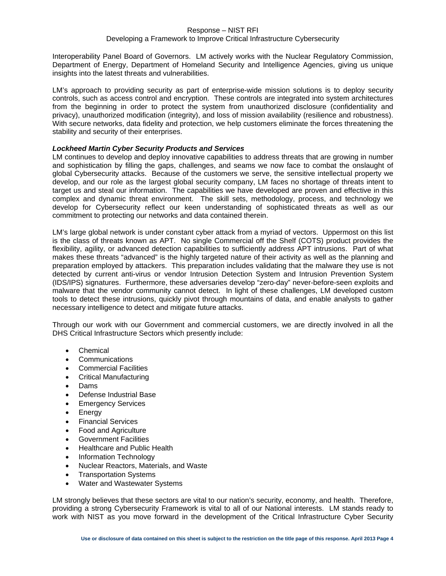#### Developing a Framework to Improve Critical Infrastructure Cybersecurity

Interoperability Panel Board of Governors. LM actively works with the Nuclear Regulatory Commission, Department of Energy, Department of Homeland Security and Intelligence Agencies, giving us unique insights into the latest threats and vulnerabilities.

LM's approach to providing security as part of enterprise-wide mission solutions is to deploy security controls, such as access control and encryption. These controls are integrated into system architectures from the beginning in order to protect the system from unauthorized disclosure (confidentiality and privacy), unauthorized modification (integrity), and loss of mission availability (resilience and robustness). With secure networks, data fidelity and protection, we help customers eliminate the forces threatening the stability and security of their enterprises.

#### *Lockheed Martin Cyber Security Products and Services*

LM continues to develop and deploy innovative capabilities to address threats that are growing in number and sophistication by filling the gaps, challenges, and seams we now face to combat the onslaught of global Cybersecurity attacks. Because of the customers we serve, the sensitive intellectual property we develop, and our role as the largest global security company, LM faces no shortage of threats intent to target us and steal our information. The capabilities we have developed are proven and effective in this complex and dynamic threat environment. The skill sets, methodology, process, and technology we develop for Cybersecurity reflect our keen understanding of sophisticated threats as well as our commitment to protecting our networks and data contained therein.

LM's large global network is under constant cyber attack from a myriad of vectors. Uppermost on this list is the class of threats known as APT. No single Commercial off the Shelf (COTS) product provides the flexibility, agility, or advanced detection capabilities to sufficiently address APT intrusions. Part of what makes these threats "advanced" is the highly targeted nature of their activity as well as the planning and preparation employed by attackers. This preparation includes validating that the malware they use is not detected by current anti-virus or vendor Intrusion Detection System and Intrusion Prevention System (IDS/IPS) signatures. Furthermore, these adversaries develop "zero-day" never-before-seen exploits and malware that the vendor community cannot detect. In light of these challenges, LM developed custom tools to detect these intrusions, quickly pivot through mountains of data, and enable analysts to gather necessary intelligence to detect and mitigate future attacks.

Through our work with our Government and commercial customers, we are directly involved in all the DHS Critical Infrastructure Sectors which presently include:

- Chemical
- **Communications**
- Commercial Facilities
- Critical Manufacturing
- Dams
- Defense Industrial Base
- Emergency Services
- **Energy**
- Financial Services
- Food and Agriculture
- Government Facilities
- Healthcare and Public Health
- Information Technology
- Nuclear Reactors, Materials, and Waste
- Transportation Systems
- Water and Wastewater Systems

LM strongly believes that these sectors are vital to our nation's security, economy, and health. Therefore, providing a strong Cybersecurity Framework is vital to all of our National interests. LM stands ready to work with NIST as you move forward in the development of the Critical Infrastructure Cyber Security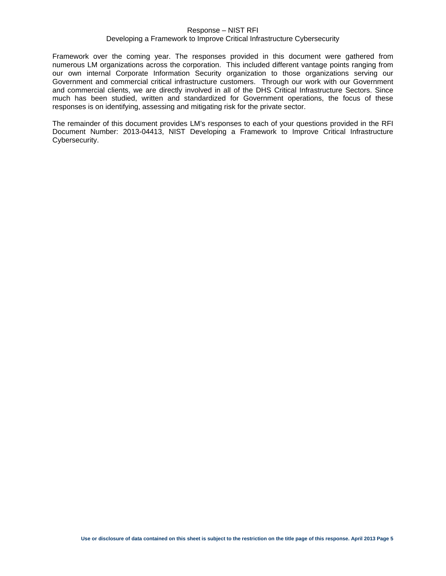#### Developing a Framework to Improve Critical Infrastructure Cybersecurity

Framework over the coming year. The responses provided in this document were gathered from numerous LM organizations across the corporation. This included different vantage points ranging from our own internal Corporate Information Security organization to those organizations serving our Government and commercial critical infrastructure customers. Through our work with our Government and commercial clients, we are directly involved in all of the DHS Critical Infrastructure Sectors. Since much has been studied, written and standardized for Government operations, the focus of these responses is on identifying, assessing and mitigating risk for the private sector.

The remainder of this document provides LM's responses to each of your questions provided in the RFI Document Number: 2013-04413, NIST Developing a Framework to Improve Critical Infrastructure Cybersecurity.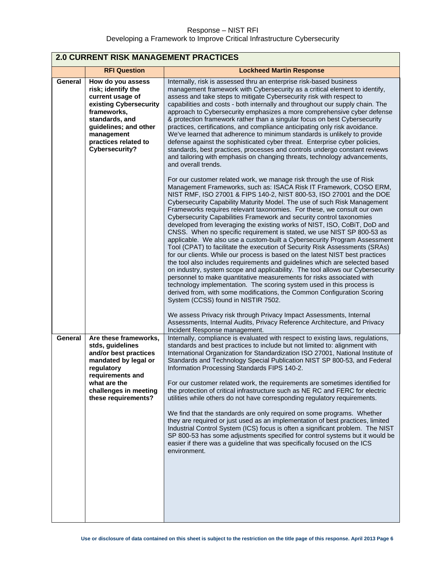<span id="page-5-0"></span>

| <b>2.0 CURRENT RISK MANAGEMENT PRACTICES</b>                                                                                                                                                            |                                                                                                                                                                                                                                                                                                                                                                                                                                                                                                                                                                                                                                                                                                                                                                                                                                                                                                                                                                                                                                                                                                                                                                                                                                                                                            |  |
|---------------------------------------------------------------------------------------------------------------------------------------------------------------------------------------------------------|--------------------------------------------------------------------------------------------------------------------------------------------------------------------------------------------------------------------------------------------------------------------------------------------------------------------------------------------------------------------------------------------------------------------------------------------------------------------------------------------------------------------------------------------------------------------------------------------------------------------------------------------------------------------------------------------------------------------------------------------------------------------------------------------------------------------------------------------------------------------------------------------------------------------------------------------------------------------------------------------------------------------------------------------------------------------------------------------------------------------------------------------------------------------------------------------------------------------------------------------------------------------------------------------|--|
| <b>RFI Question</b>                                                                                                                                                                                     | <b>Lockheed Martin Response</b>                                                                                                                                                                                                                                                                                                                                                                                                                                                                                                                                                                                                                                                                                                                                                                                                                                                                                                                                                                                                                                                                                                                                                                                                                                                            |  |
| How do you assess<br>risk; identify the<br>current usage of<br>existing Cybersecurity<br>frameworks,<br>standards, and<br>guidelines; and other<br>management<br>practices related to<br>Cybersecurity? | Internally, risk is assessed thru an enterprise risk-based business<br>management framework with Cybersecurity as a critical element to identify,<br>assess and take steps to mitigate Cybersecurity risk with respect to<br>capabilities and costs - both internally and throughout our supply chain. The<br>approach to Cybersecurity emphasizes a more comprehensive cyber defense<br>& protection framework rather than a singular focus on best Cybersecurity<br>practices, certifications, and compliance anticipating only risk avoidance.<br>We've learned that adherence to minimum standards is unlikely to provide<br>defense against the sophisticated cyber threat. Enterprise cyber policies,<br>standards, best practices, processes and controls undergo constant reviews<br>and tailoring with emphasis on changing threats, technology advancements,<br>and overall trends.                                                                                                                                                                                                                                                                                                                                                                                              |  |
|                                                                                                                                                                                                         | For our customer related work, we manage risk through the use of Risk<br>Management Frameworks, such as: ISACA Risk IT Framework, COSO ERM,<br>NIST RMF, ISO 27001 & FIPS 140-2, NIST 800-53, ISO 27001 and the DOE<br>Cybersecurity Capability Maturity Model. The use of such Risk Management<br>Frameworks requires relevant taxonomies. For these, we consult our own<br>Cybersecurity Capabilities Framework and security control taxonomies<br>developed from leveraging the existing works of NIST, ISO, CoBiT, DoD and<br>CNSS. When no specific requirement is stated, we use NIST SP 800-53 as<br>applicable. We also use a custom-built a Cybersecurity Program Assessment<br>Tool (CPAT) to facilitate the execution of Security Risk Assessments (SRAs)<br>for our clients. While our process is based on the latest NIST best practices<br>the tool also includes requirements and guidelines which are selected based<br>on industry, system scope and applicability. The tool allows our Cybersecurity<br>personnel to make quantitative measurements for risks associated with<br>technology implementation. The scoring system used in this process is<br>derived from, with some modifications, the Common Configuration Scoring<br>System (CCSS) found in NISTIR 7502. |  |
|                                                                                                                                                                                                         | We assess Privacy risk through Privacy Impact Assessments, Internal<br>Assessments, Internal Audits, Privacy Reference Architecture, and Privacy<br>Incident Response management.                                                                                                                                                                                                                                                                                                                                                                                                                                                                                                                                                                                                                                                                                                                                                                                                                                                                                                                                                                                                                                                                                                          |  |
| Are these frameworks,<br>stds, guidelines<br>and/or best practices<br>mandated by legal or<br>regulatory<br>requirements and<br>what are the<br>challenges in meeting<br>these requirements?            | Internally, compliance is evaluated with respect to existing laws, regulations,<br>standards and best practices to include but not limited to: alignment with<br>International Organization for Standardization ISO 27001, National Institute of<br>Standards and Technology Special Publication NIST SP 800-53, and Federal<br>Information Processing Standards FIPS 140-2.<br>For our customer related work, the requirements are sometimes identified for<br>the protection of critical infrastructure such as NE RC and FERC for electric<br>utilities while others do not have corresponding regulatory requirements.<br>We find that the standards are only required on some programs. Whether<br>they are required or just used as an implementation of best practices, limited<br>Industrial Control System (ICS) focus is often a significant problem. The NIST<br>SP 800-53 has some adjustments specified for control systems but it would be<br>easier if there was a guideline that was specifically focused on the ICS<br>environment.                                                                                                                                                                                                                                       |  |
|                                                                                                                                                                                                         |                                                                                                                                                                                                                                                                                                                                                                                                                                                                                                                                                                                                                                                                                                                                                                                                                                                                                                                                                                                                                                                                                                                                                                                                                                                                                            |  |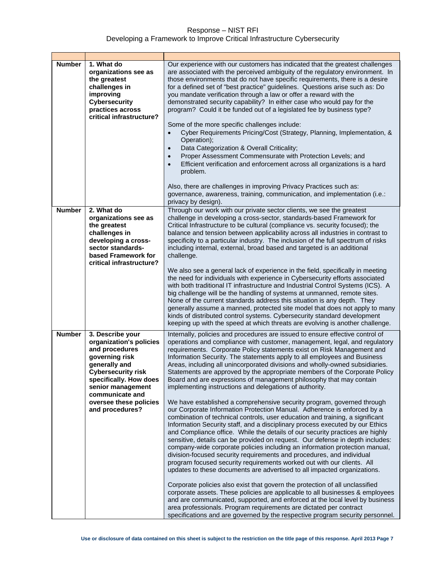| <b>Number</b> | 1. What do<br>organizations see as<br>the greatest<br>challenges in<br>improving<br><b>Cybersecurity</b><br>practices across<br>critical infrastructure?                                                                                     | Our experience with our customers has indicated that the greatest challenges<br>are associated with the perceived ambiguity of the regulatory environment. In<br>those environments that do not have specific requirements, there is a desire<br>for a defined set of "best practice" guidelines. Questions arise such as: Do<br>you mandate verification through a law or offer a reward with the<br>demonstrated security capability? In either case who would pay for the<br>program? Could it be funded out of a legislated fee by business type?<br>Some of the more specific challenges include:<br>Cyber Requirements Pricing/Cost (Strategy, Planning, Implementation, &<br>$\bullet$<br>Operation);<br>Data Categorization & Overall Criticality;<br>$\bullet$<br>Proper Assessment Commensurate with Protection Levels; and<br>$\bullet$<br>Efficient verification and enforcement across all organizations is a hard<br>$\bullet$<br>problem.<br>Also, there are challenges in improving Privacy Practices such as:<br>governance, awareness, training, communication, and implementation (i.e.:<br>privacy by design).                                                                                                                                                                                                                                                                                                                                                                                                                                                                                                                                                                                                                                                                                               |
|---------------|----------------------------------------------------------------------------------------------------------------------------------------------------------------------------------------------------------------------------------------------|----------------------------------------------------------------------------------------------------------------------------------------------------------------------------------------------------------------------------------------------------------------------------------------------------------------------------------------------------------------------------------------------------------------------------------------------------------------------------------------------------------------------------------------------------------------------------------------------------------------------------------------------------------------------------------------------------------------------------------------------------------------------------------------------------------------------------------------------------------------------------------------------------------------------------------------------------------------------------------------------------------------------------------------------------------------------------------------------------------------------------------------------------------------------------------------------------------------------------------------------------------------------------------------------------------------------------------------------------------------------------------------------------------------------------------------------------------------------------------------------------------------------------------------------------------------------------------------------------------------------------------------------------------------------------------------------------------------------------------------------------------------------------------------------------------------------------------|
| <b>Number</b> | 2. What do<br>organizations see as<br>the greatest<br>challenges in<br>developing a cross-<br>sector standards-<br>based Framework for<br>critical infrastructure?                                                                           | Through our work with our private sector clients, we see the greatest<br>challenge in developing a cross-sector, standards-based Framework for<br>Critical Infrastructure to be cultural (compliance vs. security focused); the<br>balance and tension between applicability across all industries in contrast to<br>specificity to a particular industry. The inclusion of the full spectrum of risks<br>including internal, external, broad based and targeted is an additional<br>challenge.<br>We also see a general lack of experience in the field, specifically in meeting<br>the need for individuals with experience in Cybersecurity efforts associated<br>with both traditional IT infrastructure and Industrial Control Systems (ICS). A                                                                                                                                                                                                                                                                                                                                                                                                                                                                                                                                                                                                                                                                                                                                                                                                                                                                                                                                                                                                                                                                             |
|               |                                                                                                                                                                                                                                              | big challenge will be the handling of systems at unmanned, remote sites.<br>None of the current standards address this situation is any depth. They<br>generally assume a manned, protected site model that does not apply to many<br>kinds of distributed control systems. Cybersecurity standard development<br>keeping up with the speed at which threats are evolving is another challenge.                                                                                                                                                                                                                                                                                                                                                                                                                                                                                                                                                                                                                                                                                                                                                                                                                                                                                                                                                                                                                                                                                                                                                                                                                                                                                                                                                                                                                                  |
| <b>Number</b> | 3. Describe your<br>organization's policies<br>and procedures<br>governing risk<br>generally and<br><b>Cybersecurity risk</b><br>specifically. How does<br>senior management<br>communicate and<br>oversee these policies<br>and procedures? | Internally, policies and procedures are issued to ensure effective control of<br>operations and compliance with customer, management, legal, and regulatory<br>requirements. Corporate Policy statements exist on Risk Management and<br>Information Security. The statements apply to all employees and Business<br>Areas, including all unincorporated divisions and wholly-owned subsidiaries.<br>Statements are approved by the appropriate members of the Corporate Policy<br>Board and are expressions of management philosophy that may contain<br>implementing instructions and delegations of authority.<br>We have established a comprehensive security program, governed through<br>our Corporate Information Protection Manual. Adherence is enforced by a<br>combination of technical controls, user education and training, a significant<br>Information Security staff, and a disciplinary process executed by our Ethics<br>and Compliance office. While the details of our security practices are highly<br>sensitive, details can be provided on request. Our defense in depth includes:<br>company-wide corporate policies including an information protection manual,<br>division-focused security requirements and procedures, and individual<br>program focused security requirements worked out with our clients. All<br>updates to these documents are advertised to all impacted organizations.<br>Corporate policies also exist that govern the protection of all unclassified<br>corporate assets. These policies are applicable to all businesses & employees<br>and are communicated, supported, and enforced at the local level by business<br>area professionals. Program requirements are dictated per contract<br>specifications and are governed by the respective program security personnel. |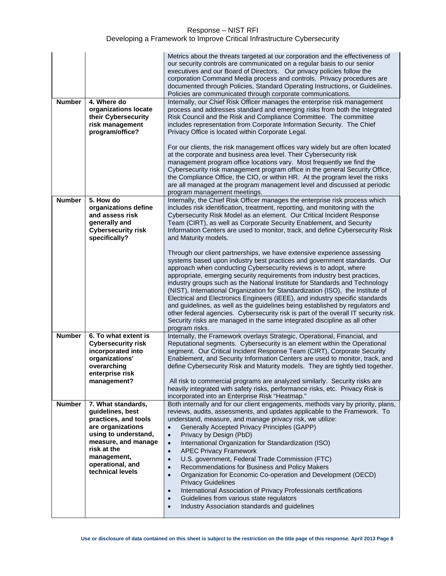| <b>Number</b> | 4. Where do                        | Metrics about the threats targeted at our corporation and the effectiveness of<br>our security controls are communicated on a regular basis to our senior<br>executives and our Board of Directors. Our privacy policies follow the<br>corporation Command Media process and controls. Privacy procedures are<br>documented through Policies, Standard Operating Instructions, or Guidelines.<br>Policies are communicated through corporate communications.<br>Internally, our Chief Risk Officer manages the enterprise risk management |
|---------------|------------------------------------|-------------------------------------------------------------------------------------------------------------------------------------------------------------------------------------------------------------------------------------------------------------------------------------------------------------------------------------------------------------------------------------------------------------------------------------------------------------------------------------------------------------------------------------------|
|               | organizations locate               | process and addresses standard and emerging risks from both the Integrated                                                                                                                                                                                                                                                                                                                                                                                                                                                                |
|               | their Cybersecurity                | Risk Council and the Risk and Compliance Committee. The committee                                                                                                                                                                                                                                                                                                                                                                                                                                                                         |
|               | risk management                    | includes representation from Corporate Information Security. The Chief                                                                                                                                                                                                                                                                                                                                                                                                                                                                    |
|               | program/office?                    | Privacy Office is located within Corporate Legal.                                                                                                                                                                                                                                                                                                                                                                                                                                                                                         |
|               |                                    |                                                                                                                                                                                                                                                                                                                                                                                                                                                                                                                                           |
|               |                                    | For our clients, the risk management offices vary widely but are often located                                                                                                                                                                                                                                                                                                                                                                                                                                                            |
|               |                                    | at the corporate and business area level. Their Cybersecurity risk                                                                                                                                                                                                                                                                                                                                                                                                                                                                        |
|               |                                    | management program office locations vary. Most frequently we find the                                                                                                                                                                                                                                                                                                                                                                                                                                                                     |
|               |                                    | Cybersecurity risk management program office in the general Security Office,                                                                                                                                                                                                                                                                                                                                                                                                                                                              |
|               |                                    | the Compliance Office, the CIO, or within HR. At the program level the risks                                                                                                                                                                                                                                                                                                                                                                                                                                                              |
|               |                                    | are all managed at the program management level and discussed at periodic                                                                                                                                                                                                                                                                                                                                                                                                                                                                 |
|               |                                    | program management meetings.                                                                                                                                                                                                                                                                                                                                                                                                                                                                                                              |
| <b>Number</b> | 5. How do                          | Internally, the Chief Risk Officer manages the enterprise risk process which                                                                                                                                                                                                                                                                                                                                                                                                                                                              |
|               | organizations define               | includes risk identification, treatment, reporting, and monitoring with the                                                                                                                                                                                                                                                                                                                                                                                                                                                               |
|               | and assess risk                    | Cybersecurity Risk Model as an element. Our Critical Incident Response                                                                                                                                                                                                                                                                                                                                                                                                                                                                    |
|               | generally and                      | Team (CIRT), as well as Corporate Security Enablement, and Security                                                                                                                                                                                                                                                                                                                                                                                                                                                                       |
|               | <b>Cybersecurity risk</b>          | Information Centers are used to monitor, track, and define Cybersecurity Risk                                                                                                                                                                                                                                                                                                                                                                                                                                                             |
|               | specifically?                      | and Maturity models.                                                                                                                                                                                                                                                                                                                                                                                                                                                                                                                      |
|               |                                    | Through our client partnerships, we have extensive experience assessing                                                                                                                                                                                                                                                                                                                                                                                                                                                                   |
|               |                                    | systems based upon industry best practices and government standards. Our                                                                                                                                                                                                                                                                                                                                                                                                                                                                  |
|               |                                    | approach when conducting Cybersecurity reviews is to adopt, where                                                                                                                                                                                                                                                                                                                                                                                                                                                                         |
|               |                                    | appropriate, emerging security requirements from industry best practices,                                                                                                                                                                                                                                                                                                                                                                                                                                                                 |
|               |                                    | industry groups such as the National Institute for Standards and Technology                                                                                                                                                                                                                                                                                                                                                                                                                                                               |
|               |                                    | (NIST), International Organization for Standardization (ISO), the Institute of                                                                                                                                                                                                                                                                                                                                                                                                                                                            |
|               |                                    | Electrical and Electronics Engineers (IEEE), and industry specific standards                                                                                                                                                                                                                                                                                                                                                                                                                                                              |
|               |                                    | and guidelines, as well as the guidelines being established by regulators and                                                                                                                                                                                                                                                                                                                                                                                                                                                             |
|               |                                    | other federal agencies. Cybersecurity risk is part of the overall IT security risk.                                                                                                                                                                                                                                                                                                                                                                                                                                                       |
|               |                                    | Security risks are managed in the same integrated discipline as all other                                                                                                                                                                                                                                                                                                                                                                                                                                                                 |
|               |                                    | program risks.                                                                                                                                                                                                                                                                                                                                                                                                                                                                                                                            |
| <b>Number</b> | 6. To what extent is               | Internally, the Framework overlays Strategic, Operational, Financial, and                                                                                                                                                                                                                                                                                                                                                                                                                                                                 |
|               | <b>Cybersecurity risk</b>          | Reputational segments. Cybersecurity is an element within the Operational                                                                                                                                                                                                                                                                                                                                                                                                                                                                 |
|               | incorporated into                  | segment. Our Critical Incident Response Team (CIRT), Corporate Security                                                                                                                                                                                                                                                                                                                                                                                                                                                                   |
|               | organizations'                     | Enablement, and Security Information Centers are used to monitor, track, and                                                                                                                                                                                                                                                                                                                                                                                                                                                              |
|               | overarching                        | define Cybersecurity Risk and Maturity models. They are tightly tied together.                                                                                                                                                                                                                                                                                                                                                                                                                                                            |
|               | enterprise risk                    |                                                                                                                                                                                                                                                                                                                                                                                                                                                                                                                                           |
|               | management?                        | All risk to commercial programs are analyzed similarly. Security risks are                                                                                                                                                                                                                                                                                                                                                                                                                                                                |
|               |                                    | heavily integrated with safety risks, performance risks, etc. Privacy Risk is                                                                                                                                                                                                                                                                                                                                                                                                                                                             |
|               |                                    | incorporated into an Enterprise Risk "Heatmap."                                                                                                                                                                                                                                                                                                                                                                                                                                                                                           |
| <b>Number</b> | 7. What standards,                 | Both internally and for our client engagements, methods vary by priority, plans,                                                                                                                                                                                                                                                                                                                                                                                                                                                          |
|               | guidelines, best                   | reviews, audits, assessments, and updates applicable to the Framework. To                                                                                                                                                                                                                                                                                                                                                                                                                                                                 |
|               | practices, and tools               | understand, measure, and manage privacy risk, we utilize:                                                                                                                                                                                                                                                                                                                                                                                                                                                                                 |
|               | are organizations                  | Generally Accepted Privacy Principles (GAPP)<br>$\bullet$                                                                                                                                                                                                                                                                                                                                                                                                                                                                                 |
|               | using to understand,               | Privacy by Design (PbD)<br>$\bullet$                                                                                                                                                                                                                                                                                                                                                                                                                                                                                                      |
|               | measure, and manage<br>risk at the | International Organization for Standardization (ISO)<br>$\bullet$                                                                                                                                                                                                                                                                                                                                                                                                                                                                         |
|               | management,                        | <b>APEC Privacy Framework</b><br>$\bullet$                                                                                                                                                                                                                                                                                                                                                                                                                                                                                                |
|               | operational, and                   | U.S. government, Federal Trade Commission (FTC)<br>$\bullet$                                                                                                                                                                                                                                                                                                                                                                                                                                                                              |
|               | technical levels                   | Recommendations for Business and Policy Makers<br>$\bullet$                                                                                                                                                                                                                                                                                                                                                                                                                                                                               |
|               |                                    | Organization for Economic Co-operation and Development (OECD)<br>$\bullet$                                                                                                                                                                                                                                                                                                                                                                                                                                                                |
|               |                                    | <b>Privacy Guidelines</b>                                                                                                                                                                                                                                                                                                                                                                                                                                                                                                                 |
|               |                                    | International Association of Privacy Professionals certifications<br>$\bullet$                                                                                                                                                                                                                                                                                                                                                                                                                                                            |
|               |                                    | Guidelines from various state regulators<br>$\bullet$                                                                                                                                                                                                                                                                                                                                                                                                                                                                                     |
|               |                                    | Industry Association standards and guidelines<br>$\bullet$                                                                                                                                                                                                                                                                                                                                                                                                                                                                                |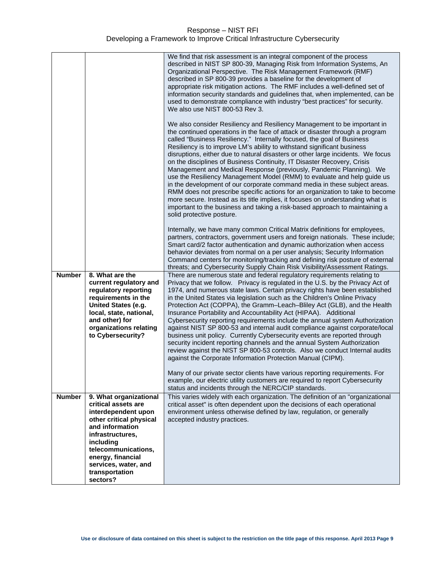|               |                                                                                               | We find that risk assessment is an integral component of the process<br>described in NIST SP 800-39, Managing Risk from Information Systems, An<br>Organizational Perspective. The Risk Management Framework (RMF)<br>described in SP 800-39 provides a baseline for the development of<br>appropriate risk mitigation actions. The RMF includes a well-defined set of<br>information security standards and guidelines that, when implemented, can be<br>used to demonstrate compliance with industry "best practices" for security.<br>We also use NIST 800-53 Rev 3.<br>We also consider Resiliency and Resiliency Management to be important in<br>the continued operations in the face of attack or disaster through a program<br>called "Business Resiliency." Internally focused, the goal of Business<br>Resiliency is to improve LM's ability to withstand significant business<br>disruptions, either due to natural disasters or other large incidents. We focus<br>on the disciplines of Business Continuity, IT Disaster Recovery, Crisis<br>Management and Medical Response (previously, Pandemic Planning). We<br>use the Resiliency Management Model (RMM) to evaluate and help guide us<br>in the development of our corporate command media in these subject areas.<br>RMM does not prescribe specific actions for an organization to take to become<br>more secure. Instead as its title implies, it focuses on understanding what is<br>important to the business and taking a risk-based approach to maintaining a<br>solid protective posture.<br>Internally, we have many common Critical Matrix definitions for employees,<br>partners, contractors, government users and foreign nationals. These include;<br>Smart card/2 factor authentication and dynamic authorization when access<br>behavior deviates from normal on a per user analysis; Security Information<br>Command centers for monitoring/tracking and defining risk posture of external |
|---------------|-----------------------------------------------------------------------------------------------|--------------------------------------------------------------------------------------------------------------------------------------------------------------------------------------------------------------------------------------------------------------------------------------------------------------------------------------------------------------------------------------------------------------------------------------------------------------------------------------------------------------------------------------------------------------------------------------------------------------------------------------------------------------------------------------------------------------------------------------------------------------------------------------------------------------------------------------------------------------------------------------------------------------------------------------------------------------------------------------------------------------------------------------------------------------------------------------------------------------------------------------------------------------------------------------------------------------------------------------------------------------------------------------------------------------------------------------------------------------------------------------------------------------------------------------------------------------------------------------------------------------------------------------------------------------------------------------------------------------------------------------------------------------------------------------------------------------------------------------------------------------------------------------------------------------------------------------------------------------------------------------------------------------------------------------------------------------------------------|
| <b>Number</b> | 8. What are the<br>current regulatory and                                                     | threats; and Cybersecurity Supply Chain Risk Visibility/Assessment Ratings.<br>There are numerous state and federal regulatory requirements relating to<br>Privacy that we follow. Privacy is regulated in the U.S. by the Privacy Act of                                                                                                                                                                                                                                                                                                                                                                                                                                                                                                                                                                                                                                                                                                                                                                                                                                                                                                                                                                                                                                                                                                                                                                                                                                                                                                                                                                                                                                                                                                                                                                                                                                                                                                                                      |
|               | regulatory reporting<br>requirements in the<br>United States (e.g.<br>local, state, national, | 1974, and numerous state laws. Certain privacy rights have been established<br>in the United States via legislation such as the Children's Online Privacy<br>Protection Act (COPPA), the Gramm-Leach-Bliley Act (GLB), and the Health<br>Insurance Portability and Accountability Act (HIPAA). Additional                                                                                                                                                                                                                                                                                                                                                                                                                                                                                                                                                                                                                                                                                                                                                                                                                                                                                                                                                                                                                                                                                                                                                                                                                                                                                                                                                                                                                                                                                                                                                                                                                                                                      |
|               | and other) for<br>organizations relating<br>to Cybersecurity?                                 | Cybersecurity reporting requirements include the annual system Authorization<br>against NIST SP 800-53 and internal audit compliance against corporate/local                                                                                                                                                                                                                                                                                                                                                                                                                                                                                                                                                                                                                                                                                                                                                                                                                                                                                                                                                                                                                                                                                                                                                                                                                                                                                                                                                                                                                                                                                                                                                                                                                                                                                                                                                                                                                   |
|               |                                                                                               | business unit policy. Currently Cybersecurity events are reported through<br>security incident reporting channels and the annual System Authorization<br>review against the NIST SP 800-53 controls. Also we conduct Internal audits<br>against the Corporate Information Protection Manual (CIPM).                                                                                                                                                                                                                                                                                                                                                                                                                                                                                                                                                                                                                                                                                                                                                                                                                                                                                                                                                                                                                                                                                                                                                                                                                                                                                                                                                                                                                                                                                                                                                                                                                                                                            |
|               |                                                                                               | Many of our private sector clients have various reporting requirements. For<br>example, our electric utility customers are required to report Cybersecurity<br>status and incidents through the NERC/CIP standards.                                                                                                                                                                                                                                                                                                                                                                                                                                                                                                                                                                                                                                                                                                                                                                                                                                                                                                                                                                                                                                                                                                                                                                                                                                                                                                                                                                                                                                                                                                                                                                                                                                                                                                                                                            |
| <b>Number</b> | 9. What organizational<br>critical assets are<br>interdependent upon                          | This varies widely with each organization. The definition of an "organizational<br>critical asset" is often dependent upon the decisions of each operational<br>environment unless otherwise defined by law, regulation, or generally                                                                                                                                                                                                                                                                                                                                                                                                                                                                                                                                                                                                                                                                                                                                                                                                                                                                                                                                                                                                                                                                                                                                                                                                                                                                                                                                                                                                                                                                                                                                                                                                                                                                                                                                          |
|               | other critical physical<br>and information<br>infrastructures.                                | accepted industry practices.                                                                                                                                                                                                                                                                                                                                                                                                                                                                                                                                                                                                                                                                                                                                                                                                                                                                                                                                                                                                                                                                                                                                                                                                                                                                                                                                                                                                                                                                                                                                                                                                                                                                                                                                                                                                                                                                                                                                                   |
|               | including<br>telecommunications,                                                              |                                                                                                                                                                                                                                                                                                                                                                                                                                                                                                                                                                                                                                                                                                                                                                                                                                                                                                                                                                                                                                                                                                                                                                                                                                                                                                                                                                                                                                                                                                                                                                                                                                                                                                                                                                                                                                                                                                                                                                                |
|               | energy, financial<br>services, water, and<br>transportation<br>sectors?                       |                                                                                                                                                                                                                                                                                                                                                                                                                                                                                                                                                                                                                                                                                                                                                                                                                                                                                                                                                                                                                                                                                                                                                                                                                                                                                                                                                                                                                                                                                                                                                                                                                                                                                                                                                                                                                                                                                                                                                                                |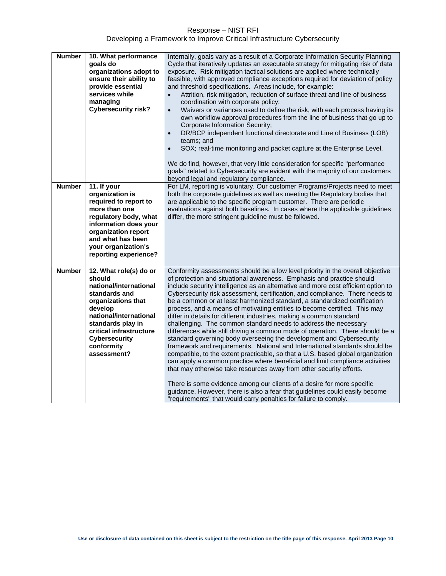| <b>Number</b> | 10. What performance<br>goals do<br>organizations adopt to<br>ensure their ability to<br>provide essential<br>services while<br>managing<br><b>Cybersecurity risk?</b>                                                                      | Internally, goals vary as a result of a Corporate Information Security Planning<br>Cycle that iteratively updates an executable strategy for mitigating risk of data<br>exposure. Risk mitigation tactical solutions are applied where technically<br>feasible, with approved compliance exceptions required for deviation of policy<br>and threshold specifications. Areas include, for example:<br>Attrition, risk mitigation, reduction of surface threat and line of business<br>$\bullet$<br>coordination with corporate policy;<br>Waivers or variances used to define the risk, with each process having its<br>$\bullet$<br>own workflow approval procedures from the line of business that go up to<br>Corporate Information Security;<br>DR/BCP independent functional directorate and Line of Business (LOB)<br>$\bullet$<br>teams; and<br>SOX; real-time monitoring and packet capture at the Enterprise Level.<br>$\bullet$<br>We do find, however, that very little consideration for specific "performance<br>goals" related to Cybersecurity are evident with the majority of our customers<br>beyond legal and regulatory compliance.                                                                                                                                                                                          |
|---------------|---------------------------------------------------------------------------------------------------------------------------------------------------------------------------------------------------------------------------------------------|-------------------------------------------------------------------------------------------------------------------------------------------------------------------------------------------------------------------------------------------------------------------------------------------------------------------------------------------------------------------------------------------------------------------------------------------------------------------------------------------------------------------------------------------------------------------------------------------------------------------------------------------------------------------------------------------------------------------------------------------------------------------------------------------------------------------------------------------------------------------------------------------------------------------------------------------------------------------------------------------------------------------------------------------------------------------------------------------------------------------------------------------------------------------------------------------------------------------------------------------------------------------------------------------------------------------------------------------------|
| <b>Number</b> | 11. If your<br>organization is<br>required to report to<br>more than one<br>regulatory body, what<br>information does your<br>organization report<br>and what has been<br>your organization's<br>reporting experience?                      | For LM, reporting is voluntary. Our customer Programs/Projects need to meet<br>both the corporate guidelines as well as meeting the Regulatory bodies that<br>are applicable to the specific program customer. There are periodic<br>evaluations against both baselines. In cases where the applicable guidelines<br>differ, the more stringent guideline must be followed.                                                                                                                                                                                                                                                                                                                                                                                                                                                                                                                                                                                                                                                                                                                                                                                                                                                                                                                                                                     |
| <b>Number</b> | 12. What role(s) do or<br>should<br>national/international<br>standards and<br>organizations that<br>develop<br>national/international<br>standards play in<br>critical infrastructure<br><b>Cybersecurity</b><br>conformity<br>assessment? | Conformity assessments should be a low level priority in the overall objective<br>of protection and situational awareness. Emphasis and practice should<br>include security intelligence as an alternative and more cost efficient option to<br>Cybersecurity risk assessment, certification, and compliance. There needs to<br>be a common or at least harmonized standard, a standardized certification<br>process, and a means of motivating entities to become certified. This may<br>differ in details for different industries, making a common standard<br>challenging. The common standard needs to address the necessary<br>differences while still driving a common mode of operation. There should be a<br>standard governing body overseeing the development and Cybersecurity<br>framework and requirements. National and International standards should be<br>compatible, to the extent practicable, so that a U.S. based global organization<br>can apply a common practice where beneficial and limit compliance activities<br>that may otherwise take resources away from other security efforts.<br>There is some evidence among our clients of a desire for more specific<br>guidance. However, there is also a fear that guidelines could easily become<br>"requirements" that would carry penalties for failure to comply. |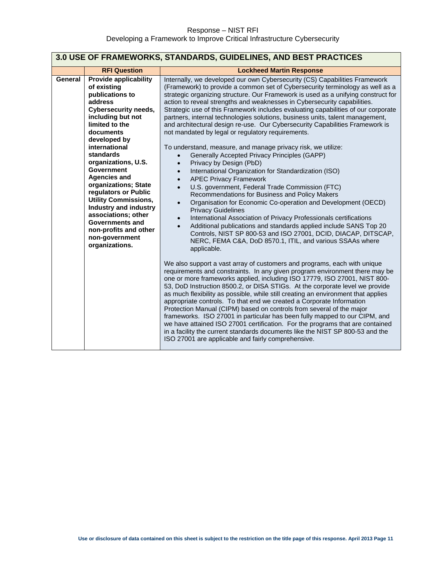<span id="page-10-0"></span>

| 3.0 USE OF FRAMEWORKS, STANDARDS, GUIDELINES, AND BEST PRACTICES |                                                                                                                                                                                                                                                                                                                                                                                                                                                                                                                   |                                                                                                                                                                                                                                                                                                                                                                                                                                                                                                                                                                                                                                                                                                                                                                                                                                                                                                                                                                                                                                                                                                                                                                                                                                                                                                                                                                                                                                                                                                                                                                                                                                                                                                                                                                                                                                                                                                                                                                                                                                                                                                                                                                                                                                                                                                                                      |
|------------------------------------------------------------------|-------------------------------------------------------------------------------------------------------------------------------------------------------------------------------------------------------------------------------------------------------------------------------------------------------------------------------------------------------------------------------------------------------------------------------------------------------------------------------------------------------------------|--------------------------------------------------------------------------------------------------------------------------------------------------------------------------------------------------------------------------------------------------------------------------------------------------------------------------------------------------------------------------------------------------------------------------------------------------------------------------------------------------------------------------------------------------------------------------------------------------------------------------------------------------------------------------------------------------------------------------------------------------------------------------------------------------------------------------------------------------------------------------------------------------------------------------------------------------------------------------------------------------------------------------------------------------------------------------------------------------------------------------------------------------------------------------------------------------------------------------------------------------------------------------------------------------------------------------------------------------------------------------------------------------------------------------------------------------------------------------------------------------------------------------------------------------------------------------------------------------------------------------------------------------------------------------------------------------------------------------------------------------------------------------------------------------------------------------------------------------------------------------------------------------------------------------------------------------------------------------------------------------------------------------------------------------------------------------------------------------------------------------------------------------------------------------------------------------------------------------------------------------------------------------------------------------------------------------------------|
|                                                                  | <b>RFI Question</b>                                                                                                                                                                                                                                                                                                                                                                                                                                                                                               | <b>Lockheed Martin Response</b>                                                                                                                                                                                                                                                                                                                                                                                                                                                                                                                                                                                                                                                                                                                                                                                                                                                                                                                                                                                                                                                                                                                                                                                                                                                                                                                                                                                                                                                                                                                                                                                                                                                                                                                                                                                                                                                                                                                                                                                                                                                                                                                                                                                                                                                                                                      |
| General                                                          | <b>Provide applicability</b><br>of existing<br>publications to<br>address<br><b>Cybersecurity needs,</b><br>including but not<br>limited to the<br>documents<br>developed by<br>international<br><b>standards</b><br>organizations, U.S.<br><b>Government</b><br><b>Agencies and</b><br>organizations; State<br>regulators or Public<br><b>Utility Commissions,</b><br><b>Industry and industry</b><br>associations; other<br><b>Governments and</b><br>non-profits and other<br>non-government<br>organizations. | Internally, we developed our own Cybersecurity (CS) Capabilities Framework<br>(Framework) to provide a common set of Cybersecurity terminology as well as a<br>strategic organizing structure. Our Framework is used as a unifying construct for<br>action to reveal strengths and weaknesses in Cybersecurity capabilities.<br>Strategic use of this Framework includes evaluating capabilities of our corporate<br>partners, internal technologies solutions, business units, talent management,<br>and architectural design re-use. Our Cybersecurity Capabilities Framework is<br>not mandated by legal or regulatory requirements.<br>To understand, measure, and manage privacy risk, we utilize:<br>Generally Accepted Privacy Principles (GAPP)<br>$\bullet$<br>Privacy by Design (PbD)<br>$\bullet$<br>International Organization for Standardization (ISO)<br>$\bullet$<br><b>APEC Privacy Framework</b><br>$\bullet$<br>U.S. government, Federal Trade Commission (FTC)<br>$\bullet$<br>Recommendations for Business and Policy Makers<br>Organisation for Economic Co-operation and Development (OECD)<br>$\bullet$<br><b>Privacy Guidelines</b><br>International Association of Privacy Professionals certifications<br>$\bullet$<br>Additional publications and standards applied include SANS Top 20<br>Controls, NIST SP 800-53 and ISO 27001, DCID, DIACAP, DITSCAP,<br>NERC, FEMA C&A, DoD 8570.1, ITIL, and various SSAAs where<br>applicable.<br>We also support a vast array of customers and programs, each with unique<br>requirements and constraints. In any given program environment there may be<br>one or more frameworks applied, including ISO 17779, ISO 27001, NIST 800-<br>53, DoD Instruction 8500.2, or DISA STIGs. At the corporate level we provide<br>as much flexibility as possible, while still creating an environment that applies<br>appropriate controls. To that end we created a Corporate Information<br>Protection Manual (CIPM) based on controls from several of the major<br>frameworks. ISO 27001 in particular has been fully mapped to our CIPM, and<br>we have attained ISO 27001 certification. For the programs that are contained<br>in a facility the current standards documents like the NIST SP 800-53 and the<br>ISO 27001 are applicable and fairly comprehensive. |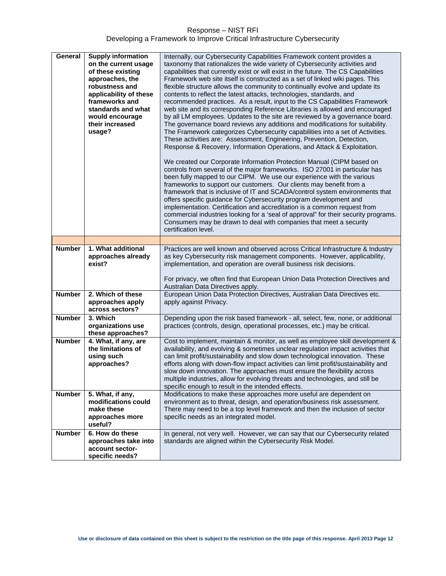| General                        | <b>Supply information</b><br>on the current usage<br>of these existing<br>approaches, the<br>robustness and<br>applicability of these<br>frameworks and<br>standards and what<br>would encourage<br>their increased<br>usage? | Internally, our Cybersecurity Capabilities Framework content provides a<br>taxonomy that rationalizes the wide variety of Cybersecurity activities and<br>capabilities that currently exist or will exist in the future. The CS Capabilities<br>Framework web site itself is constructed as a set of linked wiki pages. This<br>flexible structure allows the community to continually evolve and update its<br>contents to reflect the latest attacks, technologies, standards, and<br>recommended practices. As a result, input to the CS Capabilities Framework<br>web site and its corresponding Reference Libraries is allowed and encouraged<br>by all LM employees. Updates to the site are reviewed by a governance board.<br>The governance board reviews any additions and modifications for suitability.<br>The Framework categorizes Cybersecurity capabilities into a set of Activities.<br>These activities are: Assessment, Engineering, Prevention, Detection,<br>Response & Recovery, Information Operations, and Attack & Exploitation.<br>We created our Corporate Information Protection Manual (CIPM based on<br>controls from several of the major frameworks. ISO 27001 in particular has<br>been fully mapped to our CIPM. We use our experience with the various<br>frameworks to support our customers. Our clients may benefit from a<br>framework that is inclusive of IT and SCADA/control system environments that<br>offers specific guidance for Cybersecurity program development and<br>implementation. Certification and accreditation is a common request from<br>commercial industries looking for a 'seal of approval" for their security programs.<br>Consumers may be drawn to deal with companies that meet a security<br>certification level. |
|--------------------------------|-------------------------------------------------------------------------------------------------------------------------------------------------------------------------------------------------------------------------------|-----------------------------------------------------------------------------------------------------------------------------------------------------------------------------------------------------------------------------------------------------------------------------------------------------------------------------------------------------------------------------------------------------------------------------------------------------------------------------------------------------------------------------------------------------------------------------------------------------------------------------------------------------------------------------------------------------------------------------------------------------------------------------------------------------------------------------------------------------------------------------------------------------------------------------------------------------------------------------------------------------------------------------------------------------------------------------------------------------------------------------------------------------------------------------------------------------------------------------------------------------------------------------------------------------------------------------------------------------------------------------------------------------------------------------------------------------------------------------------------------------------------------------------------------------------------------------------------------------------------------------------------------------------------------------------------------------------------------------------------------------------------------------------------|
|                                |                                                                                                                                                                                                                               |                                                                                                                                                                                                                                                                                                                                                                                                                                                                                                                                                                                                                                                                                                                                                                                                                                                                                                                                                                                                                                                                                                                                                                                                                                                                                                                                                                                                                                                                                                                                                                                                                                                                                                                                                                                         |
| <b>Number</b><br><b>Number</b> | 1. What additional<br>approaches already<br>exist?<br>2. Which of these                                                                                                                                                       | Practices are well known and observed across Critical Infrastructure & Industry<br>as key Cybersecurity risk management components. However, applicability,<br>implementation, and operation are overall business risk decisions.<br>For privacy, we often find that European Union Data Protection Directives and<br>Australian Data Directives apply.<br>European Union Data Protection Directives, Australian Data Directives etc.                                                                                                                                                                                                                                                                                                                                                                                                                                                                                                                                                                                                                                                                                                                                                                                                                                                                                                                                                                                                                                                                                                                                                                                                                                                                                                                                                   |
|                                | approaches apply<br>across sectors?                                                                                                                                                                                           | apply against Privacy.                                                                                                                                                                                                                                                                                                                                                                                                                                                                                                                                                                                                                                                                                                                                                                                                                                                                                                                                                                                                                                                                                                                                                                                                                                                                                                                                                                                                                                                                                                                                                                                                                                                                                                                                                                  |
| <b>Number</b>                  | 3. Which<br>organizations use<br>these approaches?                                                                                                                                                                            | Depending upon the risk based framework - all, select, few, none, or additional<br>practices (controls, design, operational processes, etc.) may be critical.                                                                                                                                                                                                                                                                                                                                                                                                                                                                                                                                                                                                                                                                                                                                                                                                                                                                                                                                                                                                                                                                                                                                                                                                                                                                                                                                                                                                                                                                                                                                                                                                                           |
| <b>Number</b>                  | 4. What, if any, are<br>the limitations of<br>using such<br>approaches?                                                                                                                                                       | Cost to implement, maintain & monitor, as well as employee skill development &<br>availability, and evolving & sometimes unclear regulation impact activities that<br>can limit profit/sustainability and slow down technological innovation. These<br>efforts along with down-flow impact activities can limit profit/sustainability and<br>slow down innovation. The approaches must ensure the flexibility across<br>multiple industries, allow for evolving threats and technologies, and still be<br>specific enough to result in the intended effects.                                                                                                                                                                                                                                                                                                                                                                                                                                                                                                                                                                                                                                                                                                                                                                                                                                                                                                                                                                                                                                                                                                                                                                                                                            |
| <b>Number</b>                  | 5. What, if any,<br>modifications could<br>make these<br>approaches more<br>useful?                                                                                                                                           | Modifications to make these approaches more useful are dependent on<br>environment as to threat, design, and operation/business risk assessment.<br>There may need to be a top level framework and then the inclusion of sector<br>specific needs as an integrated model.                                                                                                                                                                                                                                                                                                                                                                                                                                                                                                                                                                                                                                                                                                                                                                                                                                                                                                                                                                                                                                                                                                                                                                                                                                                                                                                                                                                                                                                                                                               |
| <b>Number</b>                  | 6. How do these<br>approaches take into<br>account sector-<br>specific needs?                                                                                                                                                 | In general, not very well. However, we can say that our Cybersecurity related<br>standards are aligned within the Cybersecurity Risk Model.                                                                                                                                                                                                                                                                                                                                                                                                                                                                                                                                                                                                                                                                                                                                                                                                                                                                                                                                                                                                                                                                                                                                                                                                                                                                                                                                                                                                                                                                                                                                                                                                                                             |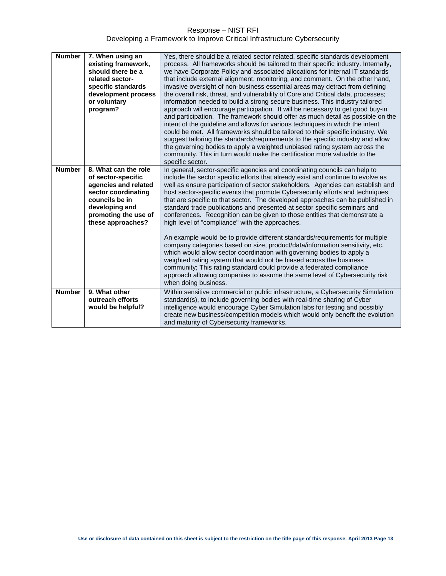| <b>Number</b> | 7. When using an<br>existing framework,<br>should there be a<br>related sector-<br>specific standards<br>development process<br>or voluntary<br>program?                   | Yes, there should be a related sector related, specific standards development<br>process. All frameworks should be tailored to their specific industry. Internally,<br>we have Corporate Policy and associated allocations for internal IT standards<br>that include external alignment, monitoring, and comment. On the other hand,<br>invasive oversight of non-business essential areas may detract from defining<br>the overall risk, threat, and vulnerability of Core and Critical data, processes;<br>information needed to build a strong secure business. This industry tailored<br>approach will encourage participation. It will be necessary to get good buy-in<br>and participation. The framework should offer as much detail as possible on the<br>intent of the guideline and allows for various techniques in which the intent<br>could be met. All frameworks should be tailored to their specific industry. We<br>suggest tailoring the standards/requirements to the specific industry and allow<br>the governing bodies to apply a weighted unbiased rating system across the<br>community. This in turn would make the certification more valuable to the<br>specific sector. |
|---------------|----------------------------------------------------------------------------------------------------------------------------------------------------------------------------|-----------------------------------------------------------------------------------------------------------------------------------------------------------------------------------------------------------------------------------------------------------------------------------------------------------------------------------------------------------------------------------------------------------------------------------------------------------------------------------------------------------------------------------------------------------------------------------------------------------------------------------------------------------------------------------------------------------------------------------------------------------------------------------------------------------------------------------------------------------------------------------------------------------------------------------------------------------------------------------------------------------------------------------------------------------------------------------------------------------------------------------------------------------------------------------------------------|
| <b>Number</b> | 8. What can the role<br>of sector-specific<br>agencies and related<br>sector coordinating<br>councils be in<br>developing and<br>promoting the use of<br>these approaches? | In general, sector-specific agencies and coordinating councils can help to<br>include the sector specific efforts that already exist and continue to evolve as<br>well as ensure participation of sector stakeholders. Agencies can establish and<br>host sector-specific events that promote Cybersecurity efforts and techniques<br>that are specific to that sector. The developed approaches can be published in<br>standard trade publications and presented at sector specific seminars and<br>conferences. Recognition can be given to those entities that demonstrate a<br>high level of "compliance" with the approaches.<br>An example would be to provide different standards/requirements for multiple<br>company categories based on size, product/data/information sensitivity, etc.<br>which would allow sector coordination with governing bodies to apply a<br>weighted rating system that would not be biased across the business                                                                                                                                                                                                                                                 |
|               |                                                                                                                                                                            | community; This rating standard could provide a federated compliance<br>approach allowing companies to assume the same level of Cybersecurity risk<br>when doing business.                                                                                                                                                                                                                                                                                                                                                                                                                                                                                                                                                                                                                                                                                                                                                                                                                                                                                                                                                                                                                          |
| <b>Number</b> | 9. What other<br>outreach efforts<br>would be helpful?                                                                                                                     | Within sensitive commercial or public infrastructure, a Cybersecurity Simulation<br>standard(s), to include governing bodies with real-time sharing of Cyber<br>intelligence would encourage Cyber Simulation labs for testing and possibly<br>create new business/competition models which would only benefit the evolution<br>and maturity of Cybersecurity frameworks.                                                                                                                                                                                                                                                                                                                                                                                                                                                                                                                                                                                                                                                                                                                                                                                                                           |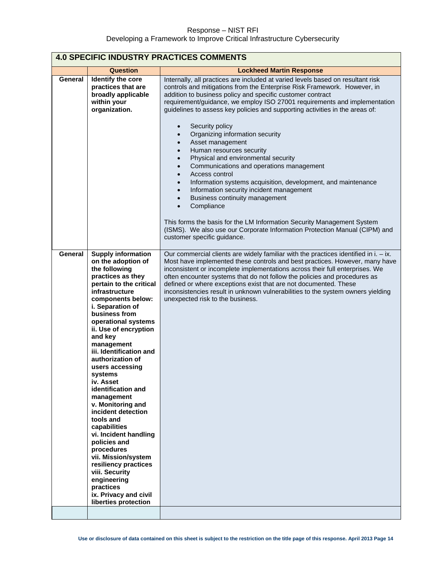<span id="page-13-0"></span>

| <b>4.0 SPECIFIC INDUSTRY PRACTICES COMMENTS</b> |                                                                                                                                                                                                                                                                                                                                                                                                                                                                                                                                                                                                                                                                                  |                                                                                                                                                                                                                                                                                                                                                                                                                                                                                                                               |
|-------------------------------------------------|----------------------------------------------------------------------------------------------------------------------------------------------------------------------------------------------------------------------------------------------------------------------------------------------------------------------------------------------------------------------------------------------------------------------------------------------------------------------------------------------------------------------------------------------------------------------------------------------------------------------------------------------------------------------------------|-------------------------------------------------------------------------------------------------------------------------------------------------------------------------------------------------------------------------------------------------------------------------------------------------------------------------------------------------------------------------------------------------------------------------------------------------------------------------------------------------------------------------------|
|                                                 | <b>Question</b>                                                                                                                                                                                                                                                                                                                                                                                                                                                                                                                                                                                                                                                                  | <b>Lockheed Martin Response</b>                                                                                                                                                                                                                                                                                                                                                                                                                                                                                               |
| General                                         | Identify the core<br>practices that are<br>broadly applicable<br>within your<br>organization.                                                                                                                                                                                                                                                                                                                                                                                                                                                                                                                                                                                    | Internally, all practices are included at varied levels based on resultant risk<br>controls and mitigations from the Enterprise Risk Framework. However, in<br>addition to business policy and specific customer contract<br>requirement/guidance, we employ ISO 27001 requirements and implementation<br>guidelines to assess key policies and supporting activities in the areas of:<br>Security policy<br>$\bullet$<br>Organizing information security<br>$\bullet$                                                        |
|                                                 |                                                                                                                                                                                                                                                                                                                                                                                                                                                                                                                                                                                                                                                                                  | Asset management<br>$\bullet$<br>Human resources security<br>$\bullet$<br>Physical and environmental security<br>$\bullet$<br>Communications and operations management<br>$\bullet$<br>Access control<br>$\bullet$<br>Information systems acquisition, development, and maintenance<br>$\bullet$<br>Information security incident management<br>$\bullet$<br>Business continuity management<br>$\bullet$<br>Compliance<br>$\bullet$                                                                                           |
|                                                 |                                                                                                                                                                                                                                                                                                                                                                                                                                                                                                                                                                                                                                                                                  | This forms the basis for the LM Information Security Management System<br>(ISMS). We also use our Corporate Information Protection Manual (CIPM) and<br>customer specific guidance.                                                                                                                                                                                                                                                                                                                                           |
| General                                         | <b>Supply information</b><br>on the adoption of<br>the following<br>practices as they<br>pertain to the critical<br>infrastructure<br>components below:<br>i. Separation of<br>business from<br>operational systems<br>ii. Use of encryption<br>and key<br>management<br>iii. Identification and<br>authorization of<br>users accessing<br>systems<br>iv. Asset<br>identification and<br>management<br>v. Monitoring and<br>incident detection<br>tools and<br>capabilities<br>vi. Incident handling<br>policies and<br>procedures<br>vii. Mission/system<br>resiliency practices<br>viii. Security<br>engineering<br>practices<br>ix. Privacy and civil<br>liberties protection | Our commercial clients are widely familiar with the practices identified in $i. - ix.$<br>Most have implemented these controls and best practices. However, many have<br>inconsistent or incomplete implementations across their full enterprises. We<br>often encounter systems that do not follow the policies and procedures as<br>defined or where exceptions exist that are not documented. These<br>inconsistencies result in unknown vulnerabilities to the system owners yielding<br>unexpected risk to the business. |
|                                                 |                                                                                                                                                                                                                                                                                                                                                                                                                                                                                                                                                                                                                                                                                  |                                                                                                                                                                                                                                                                                                                                                                                                                                                                                                                               |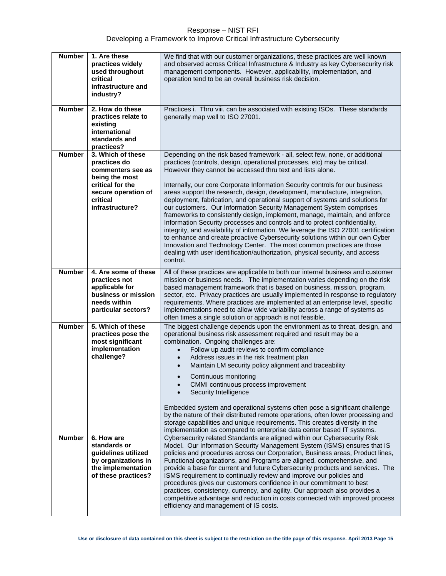| <b>Number</b> | 1. Are these<br>practices widely<br>used throughout<br>critical<br>infrastructure and<br>industry?                                                 | We find that with our customer organizations, these practices are well known<br>and observed across Critical Infrastructure & Industry as key Cybersecurity risk<br>management components. However, applicability, implementation, and<br>operation tend to be an overall business risk decision.                                                                                                                                                                                                                                                                                                                                                                                                                                                                                                                                                                                                                                                                                                                                                         |
|---------------|----------------------------------------------------------------------------------------------------------------------------------------------------|-----------------------------------------------------------------------------------------------------------------------------------------------------------------------------------------------------------------------------------------------------------------------------------------------------------------------------------------------------------------------------------------------------------------------------------------------------------------------------------------------------------------------------------------------------------------------------------------------------------------------------------------------------------------------------------------------------------------------------------------------------------------------------------------------------------------------------------------------------------------------------------------------------------------------------------------------------------------------------------------------------------------------------------------------------------|
| <b>Number</b> | 2. How do these<br>practices relate to<br>existing<br>international<br>standards and<br>practices?                                                 | Practices i. Thru viii. can be associated with existing ISOs. These standards<br>generally map well to ISO 27001.                                                                                                                                                                                                                                                                                                                                                                                                                                                                                                                                                                                                                                                                                                                                                                                                                                                                                                                                         |
| <b>Number</b> | 3. Which of these<br>practices do<br>commenters see as<br>being the most<br>critical for the<br>secure operation of<br>critical<br>infrastructure? | Depending on the risk based framework - all, select few, none, or additional<br>practices (controls, design, operational processes, etc) may be critical.<br>However they cannot be accessed thru text and lists alone.<br>Internally, our core Corporate Information Security controls for our business<br>areas support the research, design, development, manufacture, integration,<br>deployment, fabrication, and operational support of systems and solutions for<br>our customers. Our Information Security Management System comprises<br>frameworks to consistently design, implement, manage, maintain, and enforce<br>Information Security processes and controls and to protect confidentiality,<br>integrity, and availability of information. We leverage the ISO 27001 certification<br>to enhance and create proactive Cybersecurity solutions within our own Cyber<br>Innovation and Technology Center. The most common practices are those<br>dealing with user identification/authorization, physical security, and access<br>control. |
| <b>Number</b> | 4. Are some of these<br>practices not<br>applicable for<br>business or mission<br>needs within<br>particular sectors?                              | All of these practices are applicable to both our internal business and customer<br>mission or business needs. The implementation varies depending on the risk<br>based management framework that is based on business, mission, program,<br>sector, etc. Privacy practices are usually implemented in response to regulatory<br>requirements. Where practices are implemented at an enterprise level, specific<br>implementations need to allow wide variability across a range of systems as<br>often times a single solution or approach is not feasible.                                                                                                                                                                                                                                                                                                                                                                                                                                                                                              |
| <b>Number</b> | 5. Which of these<br>practices pose the<br>most significant<br>implementation<br>challenge?                                                        | The biggest challenge depends upon the environment as to threat, design, and<br>operational business risk assessment required and result may be a<br>combination. Ongoing challenges are:<br>Follow up audit reviews to confirm compliance<br>Address issues in the risk treatment plan<br>$\bullet$<br>Maintain LM security policy alignment and traceability<br>$\bullet$<br>Continuous monitoring<br>CMMI continuous process improvement<br>Security Intelligence<br>Embedded system and operational systems often pose a significant challenge<br>by the nature of their distributed remote operations, often lower processing and<br>storage capabilities and unique requirements. This creates diversity in the<br>implementation as compared to enterprise data center based IT systems.                                                                                                                                                                                                                                                           |
| <b>Number</b> | 6. How are<br>standards or<br>guidelines utilized<br>by organizations in<br>the implementation<br>of these practices?                              | Cybersecurity related Standards are aligned within our Cybersecurity Risk<br>Model. Our Information Security Management System (ISMS) ensures that IS<br>policies and procedures across our Corporation, Business areas, Product lines,<br>Functional organizations, and Programs are aligned, comprehensive, and<br>provide a base for current and future Cybersecurity products and services. The<br>ISMS requirement to continually review and improve our policies and<br>procedures gives our customers confidence in our commitment to best<br>practices, consistency, currency, and agility. Our approach also provides a<br>competitive advantage and reduction in costs connected with improved process<br>efficiency and management of IS costs.                                                                                                                                                                                                                                                                                                |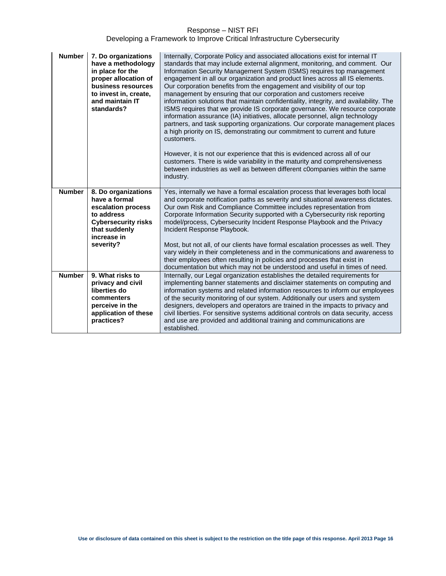| <b>Number</b> | 7. Do organizations<br>have a methodology<br>in place for the<br>proper allocation of<br>business resources<br>to invest in, create,<br>and maintain IT<br>standards? | Internally, Corporate Policy and associated allocations exist for internal IT<br>standards that may include external alignment, monitoring, and comment. Our<br>Information Security Management System (ISMS) requires top management<br>engagement in all our organization and product lines across all IS elements.<br>Our corporation benefits from the engagement and visibility of our top<br>management by ensuring that our corporation and customers receive<br>information solutions that maintain confidentiality, integrity, and availability. The<br>ISMS requires that we provide IS corporate governance. We resource corporate<br>information assurance (IA) initiatives, allocate personnel, align technology<br>partners, and task supporting organizations. Our corporate management places<br>a high priority on IS, demonstrating our commitment to current and future<br>customers.<br>However, it is not our experience that this is evidenced across all of our<br>customers. There is wide variability in the maturity and comprehensiveness<br>between industries as well as between different c0ompanies within the same<br>industry. |
|---------------|-----------------------------------------------------------------------------------------------------------------------------------------------------------------------|-----------------------------------------------------------------------------------------------------------------------------------------------------------------------------------------------------------------------------------------------------------------------------------------------------------------------------------------------------------------------------------------------------------------------------------------------------------------------------------------------------------------------------------------------------------------------------------------------------------------------------------------------------------------------------------------------------------------------------------------------------------------------------------------------------------------------------------------------------------------------------------------------------------------------------------------------------------------------------------------------------------------------------------------------------------------------------------------------------------------------------------------------------------------|
| <b>Number</b> | 8. Do organizations                                                                                                                                                   | Yes, internally we have a formal escalation process that leverages both local                                                                                                                                                                                                                                                                                                                                                                                                                                                                                                                                                                                                                                                                                                                                                                                                                                                                                                                                                                                                                                                                                   |
|               | have a formal<br>escalation process                                                                                                                                   | and corporate notification paths as severity and situational awareness dictates.<br>Our own Risk and Compliance Committee includes representation from                                                                                                                                                                                                                                                                                                                                                                                                                                                                                                                                                                                                                                                                                                                                                                                                                                                                                                                                                                                                          |
|               | to address                                                                                                                                                            | Corporate Information Security supported with a Cybersecurity risk reporting                                                                                                                                                                                                                                                                                                                                                                                                                                                                                                                                                                                                                                                                                                                                                                                                                                                                                                                                                                                                                                                                                    |
|               | <b>Cybersecurity risks</b>                                                                                                                                            | model/process, Cybersecurity Incident Response Playbook and the Privacy                                                                                                                                                                                                                                                                                                                                                                                                                                                                                                                                                                                                                                                                                                                                                                                                                                                                                                                                                                                                                                                                                         |
|               | that suddenly                                                                                                                                                         | Incident Response Playbook.                                                                                                                                                                                                                                                                                                                                                                                                                                                                                                                                                                                                                                                                                                                                                                                                                                                                                                                                                                                                                                                                                                                                     |
|               | increase in                                                                                                                                                           |                                                                                                                                                                                                                                                                                                                                                                                                                                                                                                                                                                                                                                                                                                                                                                                                                                                                                                                                                                                                                                                                                                                                                                 |
|               | severity?                                                                                                                                                             | Most, but not all, of our clients have formal escalation processes as well. They                                                                                                                                                                                                                                                                                                                                                                                                                                                                                                                                                                                                                                                                                                                                                                                                                                                                                                                                                                                                                                                                                |
|               |                                                                                                                                                                       | vary widely in their completeness and in the communications and awareness to<br>their employees often resulting in policies and processes that exist in                                                                                                                                                                                                                                                                                                                                                                                                                                                                                                                                                                                                                                                                                                                                                                                                                                                                                                                                                                                                         |
|               |                                                                                                                                                                       | documentation but which may not be understood and useful in times of need.                                                                                                                                                                                                                                                                                                                                                                                                                                                                                                                                                                                                                                                                                                                                                                                                                                                                                                                                                                                                                                                                                      |
| <b>Number</b> | 9. What risks to                                                                                                                                                      | Internally, our Legal organization establishes the detailed requirements for                                                                                                                                                                                                                                                                                                                                                                                                                                                                                                                                                                                                                                                                                                                                                                                                                                                                                                                                                                                                                                                                                    |
|               | privacy and civil                                                                                                                                                     | implementing banner statements and disclaimer statements on computing and                                                                                                                                                                                                                                                                                                                                                                                                                                                                                                                                                                                                                                                                                                                                                                                                                                                                                                                                                                                                                                                                                       |
|               | liberties do                                                                                                                                                          | information systems and related information resources to inform our employees                                                                                                                                                                                                                                                                                                                                                                                                                                                                                                                                                                                                                                                                                                                                                                                                                                                                                                                                                                                                                                                                                   |
|               | commenters                                                                                                                                                            | of the security monitoring of our system. Additionally our users and system                                                                                                                                                                                                                                                                                                                                                                                                                                                                                                                                                                                                                                                                                                                                                                                                                                                                                                                                                                                                                                                                                     |
|               | perceive in the                                                                                                                                                       | designers, developers and operators are trained in the impacts to privacy and                                                                                                                                                                                                                                                                                                                                                                                                                                                                                                                                                                                                                                                                                                                                                                                                                                                                                                                                                                                                                                                                                   |
|               | application of these                                                                                                                                                  | civil liberties. For sensitive systems additional controls on data security, access                                                                                                                                                                                                                                                                                                                                                                                                                                                                                                                                                                                                                                                                                                                                                                                                                                                                                                                                                                                                                                                                             |
|               | practices?                                                                                                                                                            | and use are provided and additional training and communications are                                                                                                                                                                                                                                                                                                                                                                                                                                                                                                                                                                                                                                                                                                                                                                                                                                                                                                                                                                                                                                                                                             |
|               |                                                                                                                                                                       | established.                                                                                                                                                                                                                                                                                                                                                                                                                                                                                                                                                                                                                                                                                                                                                                                                                                                                                                                                                                                                                                                                                                                                                    |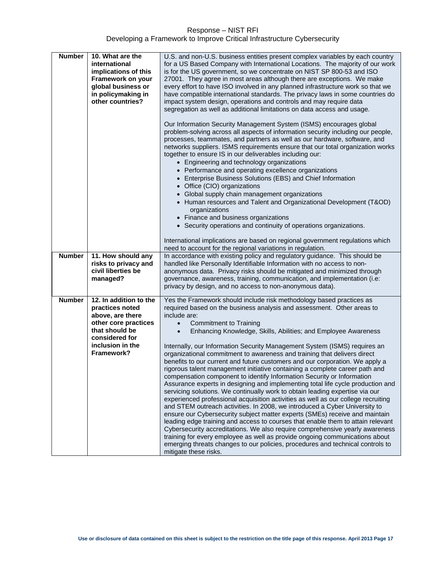| <b>Number</b> | 10. What are the       |                                                                                                                                                                                                                                                                                                                                                                                                                                                                                                                                                                                                                                                                                                                                                                          |  |  |  |
|---------------|------------------------|--------------------------------------------------------------------------------------------------------------------------------------------------------------------------------------------------------------------------------------------------------------------------------------------------------------------------------------------------------------------------------------------------------------------------------------------------------------------------------------------------------------------------------------------------------------------------------------------------------------------------------------------------------------------------------------------------------------------------------------------------------------------------|--|--|--|
|               | international          | U.S. and non-U.S. business entities present complex variables by each country<br>for a US Based Company with International Locations. The majority of our work                                                                                                                                                                                                                                                                                                                                                                                                                                                                                                                                                                                                           |  |  |  |
|               | implications of this   | is for the US government, so we concentrate on NIST SP 800-53 and ISO                                                                                                                                                                                                                                                                                                                                                                                                                                                                                                                                                                                                                                                                                                    |  |  |  |
|               | Framework on your      | 27001. They agree in most areas although there are exceptions. We make                                                                                                                                                                                                                                                                                                                                                                                                                                                                                                                                                                                                                                                                                                   |  |  |  |
|               | global business or     | every effort to have ISO involved in any planned infrastructure work so that we                                                                                                                                                                                                                                                                                                                                                                                                                                                                                                                                                                                                                                                                                          |  |  |  |
|               | in policymaking in     | have compatible international standards. The privacy laws in some countries do                                                                                                                                                                                                                                                                                                                                                                                                                                                                                                                                                                                                                                                                                           |  |  |  |
|               | other countries?       | impact system design, operations and controls and may require data                                                                                                                                                                                                                                                                                                                                                                                                                                                                                                                                                                                                                                                                                                       |  |  |  |
|               |                        | segregation as well as additional limitations on data access and usage.                                                                                                                                                                                                                                                                                                                                                                                                                                                                                                                                                                                                                                                                                                  |  |  |  |
|               |                        | Our Information Security Management System (ISMS) encourages global<br>problem-solving across all aspects of information security including our people,<br>processes, teammates, and partners as well as our hardware, software, and<br>networks suppliers. ISMS requirements ensure that our total organization works<br>together to ensure IS in our deliverables including our:<br>• Engineering and technology organizations<br>• Performance and operating excellence organizations<br>• Enterprise Business Solutions (EBS) and Chief Information<br>• Office (CIO) organizations<br>• Global supply chain management organizations<br>• Human resources and Talent and Organizational Development (T&OD)<br>organizations<br>• Finance and business organizations |  |  |  |
|               |                        | • Security operations and continuity of operations organizations.                                                                                                                                                                                                                                                                                                                                                                                                                                                                                                                                                                                                                                                                                                        |  |  |  |
|               |                        | International implications are based on regional government regulations which<br>need to account for the regional variations in regulation.                                                                                                                                                                                                                                                                                                                                                                                                                                                                                                                                                                                                                              |  |  |  |
|               |                        |                                                                                                                                                                                                                                                                                                                                                                                                                                                                                                                                                                                                                                                                                                                                                                          |  |  |  |
| <b>Number</b> | 11. How should any     | In accordance with existing policy and regulatory guidance. This should be                                                                                                                                                                                                                                                                                                                                                                                                                                                                                                                                                                                                                                                                                               |  |  |  |
|               | risks to privacy and   | handled like Personally Identifiable Information with no access to non-                                                                                                                                                                                                                                                                                                                                                                                                                                                                                                                                                                                                                                                                                                  |  |  |  |
|               | civil liberties be     | anonymous data. Privacy risks should be mitigated and minimized through                                                                                                                                                                                                                                                                                                                                                                                                                                                                                                                                                                                                                                                                                                  |  |  |  |
|               | managed?               | governance, awareness, training, communication, and implementation (i.e:                                                                                                                                                                                                                                                                                                                                                                                                                                                                                                                                                                                                                                                                                                 |  |  |  |
|               |                        | privacy by design, and no access to non-anonymous data).                                                                                                                                                                                                                                                                                                                                                                                                                                                                                                                                                                                                                                                                                                                 |  |  |  |
| <b>Number</b> | 12. In addition to the | Yes the Framework should include risk methodology based practices as                                                                                                                                                                                                                                                                                                                                                                                                                                                                                                                                                                                                                                                                                                     |  |  |  |
|               | practices noted        | required based on the business analysis and assessment. Other areas to                                                                                                                                                                                                                                                                                                                                                                                                                                                                                                                                                                                                                                                                                                   |  |  |  |
|               | above, are there       | include are:                                                                                                                                                                                                                                                                                                                                                                                                                                                                                                                                                                                                                                                                                                                                                             |  |  |  |
|               | other core practices   | Commitment to Training<br>$\bullet$                                                                                                                                                                                                                                                                                                                                                                                                                                                                                                                                                                                                                                                                                                                                      |  |  |  |
|               | that should be         | Enhancing Knowledge, Skills, Abilities; and Employee Awareness<br>$\bullet$                                                                                                                                                                                                                                                                                                                                                                                                                                                                                                                                                                                                                                                                                              |  |  |  |
|               | considered for         |                                                                                                                                                                                                                                                                                                                                                                                                                                                                                                                                                                                                                                                                                                                                                                          |  |  |  |
|               | inclusion in the       | Internally, our Information Security Management System (ISMS) requires an                                                                                                                                                                                                                                                                                                                                                                                                                                                                                                                                                                                                                                                                                                |  |  |  |
|               | Framework?             | organizational commitment to awareness and training that delivers direct                                                                                                                                                                                                                                                                                                                                                                                                                                                                                                                                                                                                                                                                                                 |  |  |  |
|               |                        | benefits to our current and future customers and our corporation. We apply a                                                                                                                                                                                                                                                                                                                                                                                                                                                                                                                                                                                                                                                                                             |  |  |  |
|               |                        | rigorous talent management initiative containing a complete career path and                                                                                                                                                                                                                                                                                                                                                                                                                                                                                                                                                                                                                                                                                              |  |  |  |
|               |                        | compensation component to identify Information Security or Information<br>Assurance experts in designing and implementing total life cycle production and                                                                                                                                                                                                                                                                                                                                                                                                                                                                                                                                                                                                                |  |  |  |
|               |                        | servicing solutions. We continually work to obtain leading expertise via our                                                                                                                                                                                                                                                                                                                                                                                                                                                                                                                                                                                                                                                                                             |  |  |  |
|               |                        | experienced professional acquisition activities as well as our college recruiting                                                                                                                                                                                                                                                                                                                                                                                                                                                                                                                                                                                                                                                                                        |  |  |  |
|               |                        | and STEM outreach activities. In 2008, we introduced a Cyber University to                                                                                                                                                                                                                                                                                                                                                                                                                                                                                                                                                                                                                                                                                               |  |  |  |
|               |                        | ensure our Cybersecurity subject matter experts (SMEs) receive and maintain                                                                                                                                                                                                                                                                                                                                                                                                                                                                                                                                                                                                                                                                                              |  |  |  |
|               |                        | leading edge training and access to courses that enable them to attain relevant                                                                                                                                                                                                                                                                                                                                                                                                                                                                                                                                                                                                                                                                                          |  |  |  |
|               |                        | Cybersecurity accreditations. We also require comprehensive yearly awareness                                                                                                                                                                                                                                                                                                                                                                                                                                                                                                                                                                                                                                                                                             |  |  |  |
|               |                        | training for every employee as well as provide ongoing communications about<br>emerging threats changes to our policies, procedures and technical controls to                                                                                                                                                                                                                                                                                                                                                                                                                                                                                                                                                                                                            |  |  |  |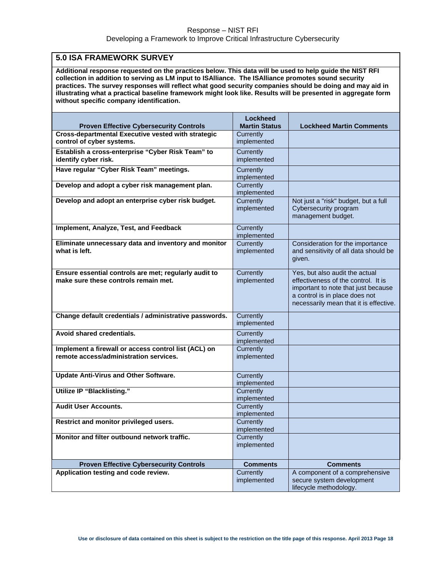# <span id="page-17-0"></span>**5.0 ISA FRAMEWORK SURVEY**

**Additional response requested on the practices below. This data will be used to help guide the NIST RFI collection in addition to serving as LM input to ISAlliance. The ISAlliance promotes sound security practices. The survey responses will reflect what good security companies should be doing and may aid in illustrating what a practical baseline framework might look like. Results will be presented in aggregate form without specific company identification.**

| <b>Proven Effective Cybersecurity Controls</b>                                                 | <b>Lockheed</b><br><b>Martin Status</b> | <b>Lockheed Martin Comments</b>                                                                                                                                                          |
|------------------------------------------------------------------------------------------------|-----------------------------------------|------------------------------------------------------------------------------------------------------------------------------------------------------------------------------------------|
| Cross-departmental Executive vested with strategic                                             | Currently                               |                                                                                                                                                                                          |
| control of cyber systems.                                                                      | implemented                             |                                                                                                                                                                                          |
| Establish a cross-enterprise "Cyber Risk Team" to<br>identify cyber risk.                      | Currently<br>implemented                |                                                                                                                                                                                          |
| Have regular "Cyber Risk Team" meetings.                                                       | Currently<br>implemented                |                                                                                                                                                                                          |
| Develop and adopt a cyber risk management plan.                                                | Currently<br>implemented                |                                                                                                                                                                                          |
| Develop and adopt an enterprise cyber risk budget.                                             | Currently<br>implemented                | Not just a "risk" budget, but a full<br>Cybersecurity program<br>management budget.                                                                                                      |
| Implement, Analyze, Test, and Feedback                                                         | Currently<br>implemented                |                                                                                                                                                                                          |
| Eliminate unnecessary data and inventory and monitor<br>what is left.                          | Currently<br>implemented                | Consideration for the importance<br>and sensitivity of all data should be<br>qiven.                                                                                                      |
| Ensure essential controls are met; regularly audit to<br>make sure these controls remain met.  | Currently<br>implemented                | Yes, but also audit the actual<br>effectiveness of the control. It is<br>important to note that just because<br>a control is in place does not<br>necessarily mean that it is effective. |
| Change default credentials / administrative passwords.                                         | Currently<br>implemented                |                                                                                                                                                                                          |
| Avoid shared credentials.                                                                      | Currently<br>implemented                |                                                                                                                                                                                          |
| Implement a firewall or access control list (ACL) on<br>remote access/administration services. | Currently<br>implemented                |                                                                                                                                                                                          |
| <b>Update Anti-Virus and Other Software.</b>                                                   | Currently<br>implemented                |                                                                                                                                                                                          |
| <b>Utilize IP "Blacklisting."</b>                                                              | Currently<br>implemented                |                                                                                                                                                                                          |
| <b>Audit User Accounts.</b>                                                                    | Currently<br>implemented                |                                                                                                                                                                                          |
| Restrict and monitor privileged users.                                                         | Currently<br>implemented                |                                                                                                                                                                                          |
| Monitor and filter outbound network traffic.                                                   | Currently<br>implemented                |                                                                                                                                                                                          |
| <b>Proven Effective Cybersecurity Controls</b>                                                 | <b>Comments</b>                         | <b>Comments</b>                                                                                                                                                                          |
| Application testing and code review.                                                           | Currently                               | A component of a comprehensive                                                                                                                                                           |
|                                                                                                | implemented                             | secure system development<br>lifecycle methodology.                                                                                                                                      |